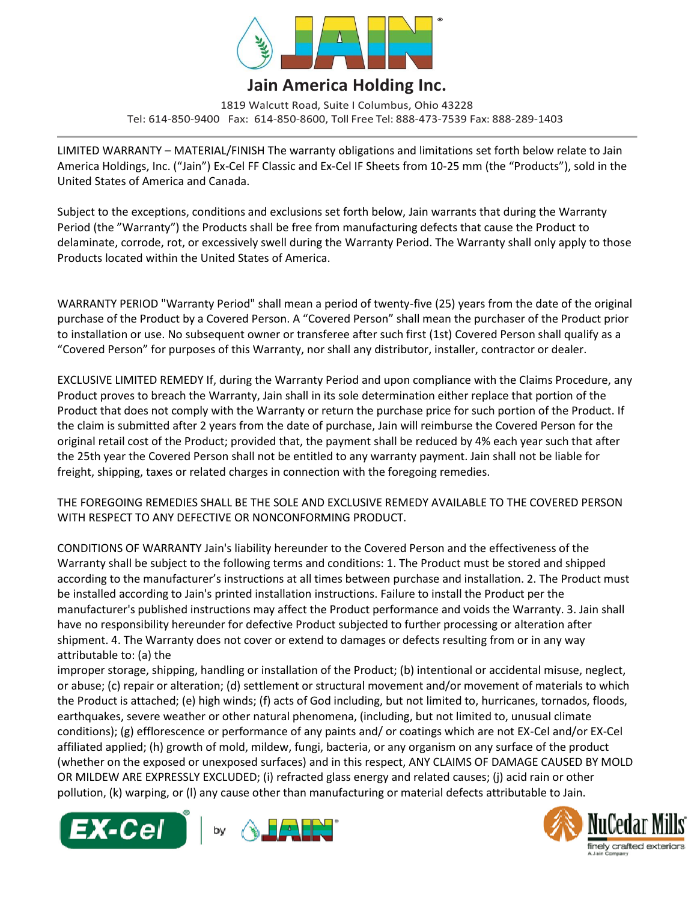

## **Jain America Holding Inc.**

1819 Walcutt Road, Suite I Columbus, Ohio 43228 Tel: 614-850-9400 Fax: 614-850-8600, Toll Free Tel: 888-473-7539 Fax: 888-289-1403

LIMITED WARRANTY – MATERIAL/FINISH The warranty obligations and limitations set forth below relate to Jain America Holdings, Inc. ("Jain") Ex-Cel FF Classic and Ex-Cel IF Sheets from 10-25 mm (the "Products"), sold in the United States of America and Canada.

Subject to the exceptions, conditions and exclusions set forth below, Jain warrants that during the Warranty Period (the "Warranty") the Products shall be free from manufacturing defects that cause the Product to delaminate, corrode, rot, or excessively swell during the Warranty Period. The Warranty shall only apply to those Products located within the United States of America.

WARRANTY PERIOD "Warranty Period" shall mean a period of twenty-five (25) years from the date of the original purchase of the Product by a Covered Person. A "Covered Person" shall mean the purchaser of the Product prior to installation or use. No subsequent owner or transferee after such first (1st) Covered Person shall qualify as a "Covered Person" for purposes of this Warranty, nor shall any distributor, installer, contractor or dealer.

EXCLUSIVE LIMITED REMEDY If, during the Warranty Period and upon compliance with the Claims Procedure, any Product proves to breach the Warranty, Jain shall in its sole determination either replace that portion of the Product that does not comply with the Warranty or return the purchase price for such portion of the Product. If the claim is submitted after 2 years from the date of purchase, Jain will reimburse the Covered Person for the original retail cost of the Product; provided that, the payment shall be reduced by 4% each year such that after the 25th year the Covered Person shall not be entitled to any warranty payment. Jain shall not be liable for freight, shipping, taxes or related charges in connection with the foregoing remedies.

THE FOREGOING REMEDIES SHALL BE THE SOLE AND EXCLUSIVE REMEDY AVAILABLE TO THE COVERED PERSON WITH RESPECT TO ANY DEFECTIVE OR NONCONFORMING PRODUCT.

CONDITIONS OF WARRANTY Jain's liability hereunder to the Covered Person and the effectiveness of the Warranty shall be subject to the following terms and conditions: 1. The Product must be stored and shipped according to the manufacturer's instructions at all times between purchase and installation. 2. The Product must be installed according to Jain's printed installation instructions. Failure to install the Product per the manufacturer's published instructions may affect the Product performance and voids the Warranty. 3. Jain shall have no responsibility hereunder for defective Product subjected to further processing or alteration after shipment. 4. The Warranty does not cover or extend to damages or defects resulting from or in any way attributable to: (a) the

improper storage, shipping, handling or installation of the Product; (b) intentional or accidental misuse, neglect, or abuse; (c) repair or alteration; (d) settlement or structural movement and/or movement of materials to which the Product is attached; (e) high winds; (f) acts of God including, but not limited to, hurricanes, tornados, floods, earthquakes, severe weather or other natural phenomena, (including, but not limited to, unusual climate conditions); (g) efflorescence or performance of any paints and/ or coatings which are not EX-Cel and/or EX-Cel affiliated applied; (h) growth of mold, mildew, fungi, bacteria, or any organism on any surface of the product (whether on the exposed or unexposed surfaces) and in this respect, ANY CLAIMS OF DAMAGE CAUSED BY MOLD OR MILDEW ARE EXPRESSLY EXCLUDED; (i) refracted glass energy and related causes; (j) acid rain or other pollution, (k) warping, or (l) any cause other than manufacturing or material defects attributable to Jain.





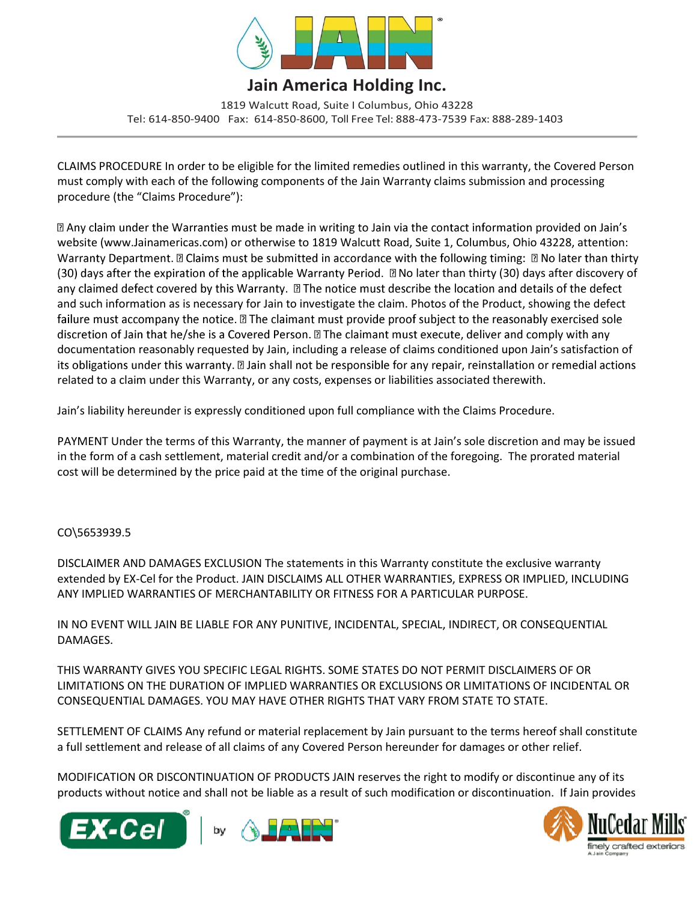

## **Jain America Holding Inc.**

1819 Walcutt Road, Suite I Columbus, Ohio 43228 Tel: 614-850-9400 Fax: 614-850-8600, Toll Free Tel: 888-473-7539 Fax: 888-289-1403

CLAIMS PROCEDURE In order to be eligible for the limited remedies outlined in this warranty, the Covered Person must comply with each of the following components of the Jain Warranty claims submission and processing procedure (the "Claims Procedure"):

[2] Any claim under the Warranties must be made in writing to Jain via the contact information provided on Jain's website (www.Jainamericas.com) or otherwise to 1819 Walcutt Road, Suite 1, Columbus, Ohio 43228, attention: Warranty Department. I Claims must be submitted in accordance with the following timing: I No later than thirty  $(30)$  days after the expiration of the applicable Warranty Period.  $\Box$  No later than thirty (30) days after discovery of any claimed defect covered by this Warranty. **II** The notice must describe the location and details of the defect and such information as is necessary for Jain to investigate the claim. Photos of the Product, showing the defect failure must accompany the notice. a The claimant must provide proof subject to the reasonably exercised sole discretion of Jain that he/she is a Covered Person. I The claimant must execute, deliver and comply with any documentation reasonably requested by Jain, including a release of claims conditioned upon Jain's satisfaction of its obligations under this warranty. [2] Jain shall not be responsible for any repair, reinstallation or remedial actions related to a claim under this Warranty, or any costs, expenses or liabilities associated therewith.

Jain's liability hereunder is expressly conditioned upon full compliance with the Claims Procedure.

PAYMENT Under the terms of this Warranty, the manner of payment is at Jain's sole discretion and may be issued in the form of a cash settlement, material credit and/or a combination of the foregoing. The prorated material cost will be determined by the price paid at the time of the original purchase.

## CO\5653939.5

DISCLAIMER AND DAMAGES EXCLUSION The statements in this Warranty constitute the exclusive warranty extended by EX-Cel for the Product. JAIN DISCLAIMS ALL OTHER WARRANTIES, EXPRESS OR IMPLIED, INCLUDING ANY IMPLIED WARRANTIES OF MERCHANTABILITY OR FITNESS FOR A PARTICULAR PURPOSE.

IN NO EVENT WILL JAIN BE LIABLE FOR ANY PUNITIVE, INCIDENTAL, SPECIAL, INDIRECT, OR CONSEQUENTIAL DAMAGES.

THIS WARRANTY GIVES YOU SPECIFIC LEGAL RIGHTS. SOME STATES DO NOT PERMIT DISCLAIMERS OF OR LIMITATIONS ON THE DURATION OF IMPLIED WARRANTIES OR EXCLUSIONS OR LIMITATIONS OF INCIDENTAL OR CONSEQUENTIAL DAMAGES. YOU MAY HAVE OTHER RIGHTS THAT VARY FROM STATE TO STATE.

SETTLEMENT OF CLAIMS Any refund or material replacement by Jain pursuant to the terms hereof shall constitute a full settlement and release of all claims of any Covered Person hereunder for damages or other relief.

MODIFICATION OR DISCONTINUATION OF PRODUCTS JAIN reserves the right to modify or discontinue any of its products without notice and shall not be liable as a result of such modification or discontinuation. If Jain provides